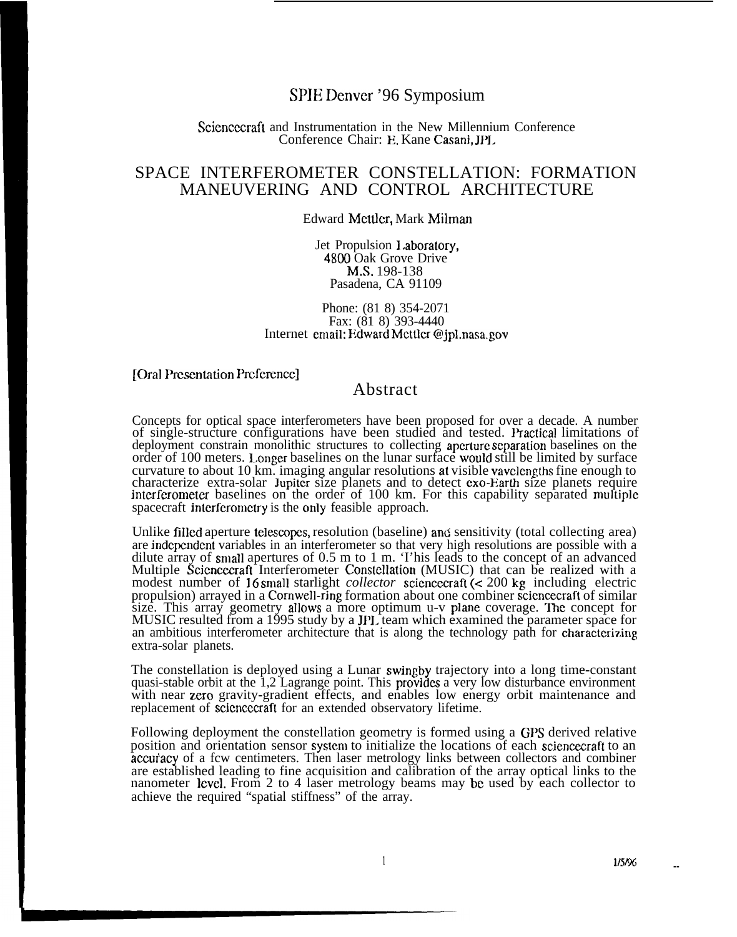## SPIE Denver '96 Symposium

#### Sciencecraft and Instrumentation in the New Millennium Conference Conference Chair: E. Kane Casani, JI'L

# SPACE INTERFEROMETER CONSTELLATION: FORMATION MANEUVERING AND CONTROL ARCHITECTURE

#### Edward Mcttlcr, Mark Milman

Jet Propulsion 1,aboratory, 4800 Oak Grove Drive M.S. 198-138 Pasadena, CA 91109

#### Phone: (81 8) 354-2071 Fax: (81 8) 393-4440 Internet cmail: Edward Mcttler @jpl.nasa.gov

#### [Oral Presentation Preference]

### Abstract

Concepts for optical space interferometers have been proposed for over a decade. A number of single-structure configurations have been studied and tested. Practical limitations of deployment constrain monolithic structures to collecting aperture separation baselines on the order of 100 meters. 1.onger baselines on the lunar surface would still be limited by surface curvature to about 10 km. imaging angular resolutions at visible vavclcngths fine enough to characterize extra-solar Jupiter size planets and to detect exo-Earth size planets require interferometer baselines on the order of 100 km. For this capability separated multiple spacecraft interferometry is the only feasible approach.

Unlike filled aperture telcseopcs, resolution (baseline) and sensitivity (total collecting area) are indcpcndcnt variables in an interferometer so that very high resolutions are possible with a dilute array of small apertures of 0.5 m to 1 m. 'I'his leads to the concept of an advanced Multiple Sciencecraft Interferometer Constellation (MUSIC) that can be realized with a modest number of 16 small starlight *collector* scicncecraft (< 200 kg including electric propulsion) arrayed in a Comwell-ring formation about one combiner scicncecraft of similar size. This array geometry allows a more optimum u-v plane coverage. The concept for MUSIC resulted from a 1995 study by a JPI. team which examined the parameter space for an ambitious interferometer architecture that is along the technology path for characterizing extra-solar planets.

The constellation is deployed using a Lunar swingby trajectory into a long time-constant quasi-stable orbit at the  $1,2$  Lagrange point. This provides a very low disturbance environment with near zero gravity-gradient effects, and enables low energy orbit maintenance and replacement of scicncecraft for an extended observatory lifetime.

Following deployment the constellation geometry is formed using a GPS derived relative position and orientation sensor system to initialize the locations of each sciencecraft to an accufacy of a fcw centimeters. Then laser metrology links between collectors and combiner are established leading to fine acquisition and calibration of the array optical links to the nanometer level. From 2 to 4 laser metrology beams may be used by each collector to achieve the required "spatial stiffness" of the array.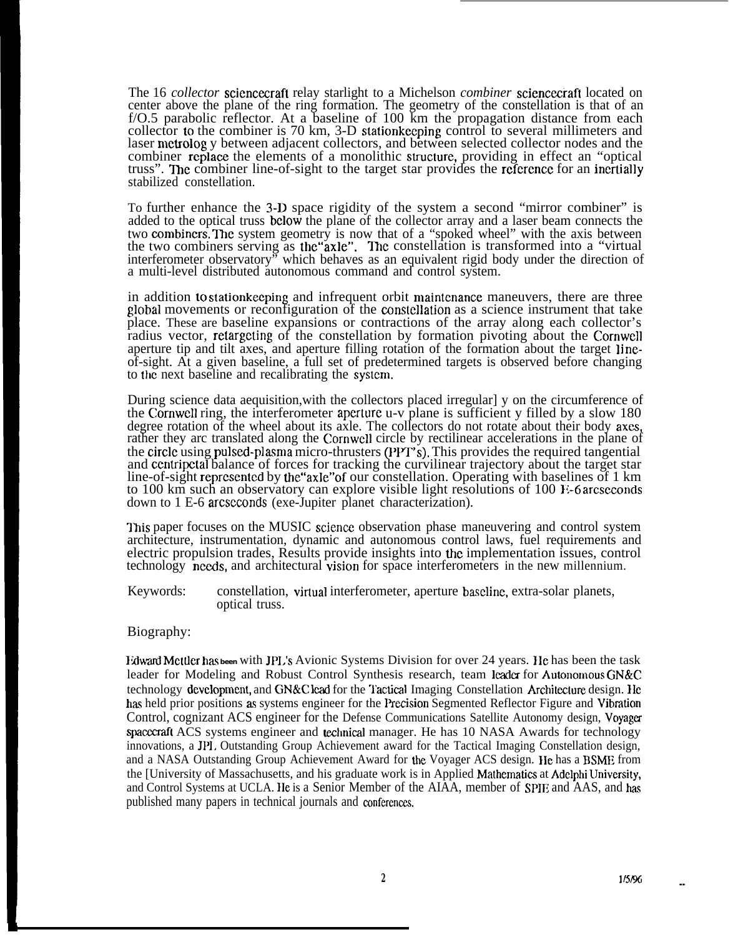The 16 *collector* scicncecraft relay starlight to a Michelson *combiner* scienceciaft located on center above the plane of the ring formation. The geometry of the constellation is that of an f/O.5 parabolic reflector. At a baseline of 100 km the propagation distance from each collector to the combiner is 70 km, 3-D stationkeeping control to several millimeters and laser mctrolog y between adjacent collectors, and between selected collector nodes and the combiner replace the elements of a monolithic structure, providing in effect an "optical truss". The combiner line-of-sight to the target star provides the reference for an incrtially stabilized constellation.

To further enhance the 3-D space rigidity of the system a second "mirror combiner" is added to the optical truss below the plane of the collector array and a laser beam connects the two combiners. The system geometry is now that of a "spoked wheel" with the axis between the two combiners serving as the "axle". The constellation is transformed into a "virtual" interferometer observatory<sup>7</sup> which behaves as an equivalent rigid body under the direction of a multi-level distributed autonomous command and control system.

in addition to station keeping and infrequent orbit maintenance maneuvers, there are three global movements or reconfiguration of the cmnstcllation as a science instrument that take place. These are baseline expansions or contractions of the array along each collector's radius vector, retargcting of the constellation by formation pivoting about the Cornwcll aperture tip and tilt axes, and aperture filling rotation of the formation about the target lineof-sight. At a given baseline, a full set of predetermined targets is observed before changing to the next baseline and recalibrating the systcm.

During science data aequisition,with the collectors placed irregular] y on the circumference of the Cornwell ring, the interferometer aperture  $u-v$  plane is sufficient y filled by a slow 180 degree rotation of the wheel about its axle. The collectors do not rotate about their body axes, rather they arc translated along the Cornwcll circle by rectilinear accelerations in the plane of the circle using pulsed-plasma micro-thrusters (PPT's). This provides the required tangential and ccntripetal balance of forces for tracking the curvilinear trajectory about the target star line-of-sight reprcscntcd by the''axle"of our constellation. Operating with baselines of 1 km to 100 km such an observatory can explore visible light resolutions of  $100 F-6$  arcseconds down to 1 E-6 arcscconds (exe-Jupiter planet characterization).

This paper focuses on the MUSIC science observation phase maneuvering and control system architecture, instrumentation, dynamic and autonomous control laws, fuel requirements and electric propulsion trades, Results provide insights into the implementation issues, control technology needs, and architectural vision for space interferometers in the new millennium.

Keywords: constellation, virtual interferometer, aperture baseline, extra-solar planets, optical truss.

### Biography:

IWwrd Mculcr hm **been** with JPI;s Avionic Systems Division for over 24 years. IIe has been the task leader for Modeling and Robust Control Synthesis research, team leader for Autonomous GN&C technology development, and GN&C lead for the Tactical Imaging Constellation Architecture design. He has held prior positions as systems engineer for the Precision Segmented Reflector Figure and Vibration Control, cognizant ACS engineer for the Defense Communications Satellite Autonomy design, Voyaga spacecraft ACS systems engineer and technical manager. He has 10 NASA Awards for technology innovations, a JP1. Outstanding Group Achievement award for the Tactical Imaging Constellation design, and a NASA Outstanding Group Achievement Award for the Voyager ACS design. IIc has a BSME from the [University of Massachusetts, and his graduate work is in Applied Mathematics at Adelphi University, and Control Systems at UCLA. He is a Senior Member of the AIAA, member of SPIE and AAS, and has published many papers in technical journals and conferences.

**--**